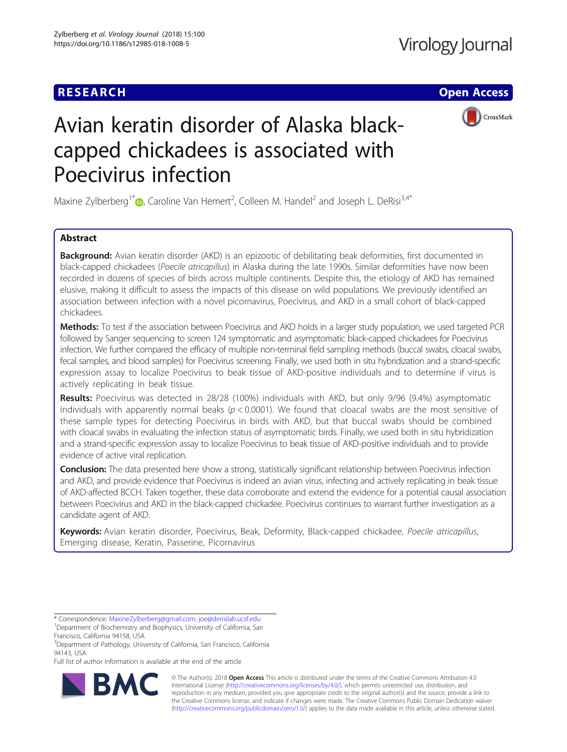## **RESEARCH CHE Open Access**



# Avian keratin disorder of Alaska blackcapped chickadees is associated with Poecivirus infection

Maxine Zylberberg<sup>1\*</sup> $\bigcirc$ [,](http://orcid.org/0000-0002-2223-4620) Caroline Van Hemert<sup>2</sup>, Colleen M. Handel<sup>2</sup> and Joseph L. DeRisi<sup>3,4\*</sup>

### Abstract

Background: Avian keratin disorder (AKD) is an epizootic of debilitating beak deformities, first documented in black-capped chickadees (Poecile atricapillus) in Alaska during the late 1990s. Similar deformities have now been recorded in dozens of species of birds across multiple continents. Despite this, the etiology of AKD has remained elusive, making it difficult to assess the impacts of this disease on wild populations. We previously identified an association between infection with a novel picornavirus, Poecivirus, and AKD in a small cohort of black-capped chickadees.

Methods: To test if the association between Poecivirus and AKD holds in a larger study population, we used targeted PCR followed by Sanger sequencing to screen 124 symptomatic and asymptomatic black-capped chickadees for Poecivirus infection. We further compared the efficacy of multiple non-terminal field sampling methods (buccal swabs, cloacal swabs, fecal samples, and blood samples) for Poecivirus screening. Finally, we used both in situ hybridization and a strand-specific expression assay to localize Poecivirus to beak tissue of AKD-positive individuals and to determine if virus is actively replicating in beak tissue.

Results: Poecivirus was detected in 28/28 (100%) individuals with AKD, but only 9/96 (9.4%) asymptomatic individuals with apparently normal beaks ( $p < 0.0001$ ). We found that cloacal swabs are the most sensitive of these sample types for detecting Poecivirus in birds with AKD, but that buccal swabs should be combined with cloacal swabs in evaluating the infection status of asymptomatic birds. Finally, we used both in situ hybridization and a strand-specific expression assay to localize Poecivirus to beak tissue of AKD-positive individuals and to provide evidence of active viral replication.

Conclusion: The data presented here show a strong, statistically significant relationship between Poecivirus infection and AKD, and provide evidence that Poecivirus is indeed an avian virus, infecting and actively replicating in beak tissue of AKD-affected BCCH. Taken together, these data corroborate and extend the evidence for a potential causal association between Poecivirus and AKD in the black-capped chickadee. Poecivirus continues to warrant further investigation as a candidate agent of AKD.

Keywords: Avian keratin disorder, Poecivirus, Beak, Deformity, Black-capped chickadee, Poecile atricapillus, Emerging disease, Keratin, Passerine, Picornavirus

Full list of author information is available at the end of the article



© The Author(s). 2018 Open Access This article is distributed under the terms of the Creative Commons Attribution 4.0 International License [\(http://creativecommons.org/licenses/by/4.0/](http://creativecommons.org/licenses/by/4.0/)), which permits unrestricted use, distribution, and reproduction in any medium, provided you give appropriate credit to the original author(s) and the source, provide a link to the Creative Commons license, and indicate if changes were made. The Creative Commons Public Domain Dedication waiver [\(http://creativecommons.org/publicdomain/zero/1.0/](http://creativecommons.org/publicdomain/zero/1.0/)) applies to the data made available in this article, unless otherwise stated.

<sup>\*</sup> Correspondence: [MaxineZylberberg@gmail.com](mailto:MaxineZylberberg@gmail.com); [joe@derisilab.ucsf.edu](mailto:joe@derisilab.ucsf.edu) <sup>1</sup> <sup>1</sup>Department of Biochemistry and Biophysics, University of California, San

Francisco, California 94158, USA

<sup>&</sup>lt;sup>3</sup>Department of Pathology, University of California, San Francisco, California 94143, USA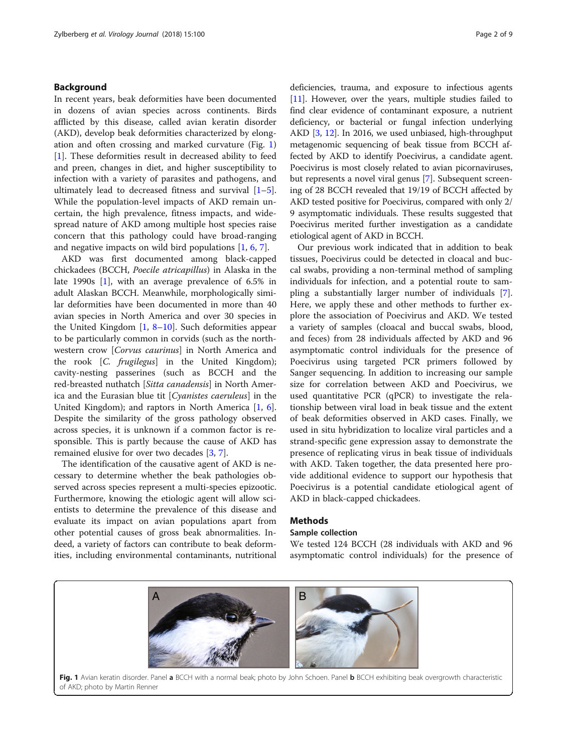#### Background

In recent years, beak deformities have been documented in dozens of avian species across continents. Birds afflicted by this disease, called avian keratin disorder (AKD), develop beak deformities characterized by elongation and often crossing and marked curvature (Fig. 1) [[1\]](#page-7-0). These deformities result in decreased ability to feed and preen, changes in diet, and higher susceptibility to infection with a variety of parasites and pathogens, and ultimately lead to decreased fitness and survival  $[1-5]$  $[1-5]$  $[1-5]$  $[1-5]$ . While the population-level impacts of AKD remain uncertain, the high prevalence, fitness impacts, and widespread nature of AKD among multiple host species raise concern that this pathology could have broad-ranging and negative impacts on wild bird populations [[1,](#page-7-0) [6,](#page-7-0) [7\]](#page-7-0).

AKD was first documented among black-capped chickadees (BCCH, Poecile atricapillus) in Alaska in the late 1990s [\[1\]](#page-7-0), with an average prevalence of 6.5% in adult Alaskan BCCH. Meanwhile, morphologically similar deformities have been documented in more than 40 avian species in North America and over 30 species in the United Kingdom  $[1, 8-10]$  $[1, 8-10]$  $[1, 8-10]$  $[1, 8-10]$  $[1, 8-10]$ . Such deformities appear to be particularly common in corvids (such as the northwestern crow [Corvus caurinus] in North America and the rook [C. frugilegus] in the United Kingdom); cavity-nesting passerines (such as BCCH and the red-breasted nuthatch [Sitta canadensis] in North America and the Eurasian blue tit [Cyanistes caeruleus] in the United Kingdom); and raptors in North America [\[1](#page-7-0), [6](#page-7-0)]. Despite the similarity of the gross pathology observed across species, it is unknown if a common factor is responsible. This is partly because the cause of AKD has remained elusive for over two decades [[3,](#page-7-0) [7\]](#page-7-0).

The identification of the causative agent of AKD is necessary to determine whether the beak pathologies observed across species represent a multi-species epizootic. Furthermore, knowing the etiologic agent will allow scientists to determine the prevalence of this disease and evaluate its impact on avian populations apart from other potential causes of gross beak abnormalities. Indeed, a variety of factors can contribute to beak deformities, including environmental contaminants, nutritional deficiencies, trauma, and exposure to infectious agents [[11](#page-7-0)]. However, over the years, multiple studies failed to find clear evidence of contaminant exposure, a nutrient deficiency, or bacterial or fungal infection underlying AKD [\[3](#page-7-0), [12](#page-7-0)]. In 2016, we used unbiased, high-throughput metagenomic sequencing of beak tissue from BCCH affected by AKD to identify Poecivirus, a candidate agent. Poecivirus is most closely related to avian picornaviruses, but represents a novel viral genus [\[7\]](#page-7-0). Subsequent screening of 28 BCCH revealed that 19/19 of BCCH affected by AKD tested positive for Poecivirus, compared with only 2/ 9 asymptomatic individuals. These results suggested that Poecivirus merited further investigation as a candidate etiological agent of AKD in BCCH.

Our previous work indicated that in addition to beak tissues, Poecivirus could be detected in cloacal and buccal swabs, providing a non-terminal method of sampling individuals for infection, and a potential route to sampling a substantially larger number of individuals [\[7](#page-7-0)]. Here, we apply these and other methods to further explore the association of Poecivirus and AKD. We tested a variety of samples (cloacal and buccal swabs, blood, and feces) from 28 individuals affected by AKD and 96 asymptomatic control individuals for the presence of Poecivirus using targeted PCR primers followed by Sanger sequencing. In addition to increasing our sample size for correlation between AKD and Poecivirus, we used quantitative PCR (qPCR) to investigate the relationship between viral load in beak tissue and the extent of beak deformities observed in AKD cases. Finally, we used in situ hybridization to localize viral particles and a strand-specific gene expression assay to demonstrate the presence of replicating virus in beak tissue of individuals with AKD. Taken together, the data presented here provide additional evidence to support our hypothesis that Poecivirus is a potential candidate etiological agent of AKD in black-capped chickadees.

#### Methods

#### Sample collection

We tested 124 BCCH (28 individuals with AKD and 96 asymptomatic control individuals) for the presence of

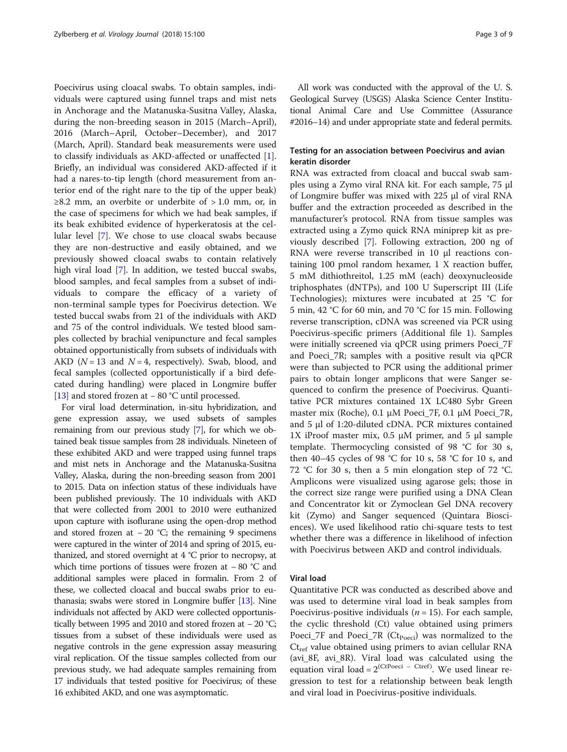Poecivirus using cloacal swabs. To obtain samples, individuals were captured using funnel traps and mist nets in Anchorage and the Matanuska-Susitna Valley, Alaska, during the non-breeding season in 2015 (March–April), 2016 (March–April, October–December), and 2017 (March, April). Standard beak measurements were used to classify individuals as AKD-affected or unaffected [\[1](#page-7-0)]. Briefly, an individual was considered AKD-affected if it had a nares-to-tip length (chord measurement from anterior end of the right nare to the tip of the upper beak)  $\geq$ 8.2 mm, an overbite or underbite of  $>$  1.0 mm, or, in the case of specimens for which we had beak samples, if its beak exhibited evidence of hyperkeratosis at the cellular level [[7\]](#page-7-0). We chose to use cloacal swabs because they are non-destructive and easily obtained, and we previously showed cloacal swabs to contain relatively high viral load [\[7](#page-7-0)]. In addition, we tested buccal swabs, blood samples, and fecal samples from a subset of individuals to compare the efficacy of a variety of non-terminal sample types for Poecivirus detection. We tested buccal swabs from 21 of the individuals with AKD and 75 of the control individuals. We tested blood samples collected by brachial venipuncture and fecal samples obtained opportunistically from subsets of individuals with AKD ( $N = 13$  and  $N = 4$ , respectively). Swab, blood, and fecal samples (collected opportunistically if a bird defecated during handling) were placed in Longmire buffer [[13](#page-7-0)] and stored frozen at − 80 °C until processed.

For viral load determination, in-situ hybridization, and gene expression assay, we used subsets of samples remaining from our previous study [\[7\]](#page-7-0), for which we obtained beak tissue samples from 28 individuals. Nineteen of these exhibited AKD and were trapped using funnel traps and mist nets in Anchorage and the Matanuska-Susitna Valley, Alaska, during the non-breeding season from 2001 to 2015. Data on infection status of these individuals have been published previously. The 10 individuals with AKD that were collected from 2001 to 2010 were euthanized upon capture with isoflurane using the open-drop method and stored frozen at  $-20$  °C; the remaining 9 specimens were captured in the winter of 2014 and spring of 2015, euthanized, and stored overnight at 4 °C prior to necropsy, at which time portions of tissues were frozen at − 80 °C and additional samples were placed in formalin. From 2 of these, we collected cloacal and buccal swabs prior to euthanasia; swabs were stored in Longmire buffer [\[13\]](#page-7-0). Nine individuals not affected by AKD were collected opportunistically between 1995 and 2010 and stored frozen at − 20 °C; tissues from a subset of these individuals were used as negative controls in the gene expression assay measuring viral replication. Of the tissue samples collected from our previous study, we had adequate samples remaining from 17 individuals that tested positive for Poecivirus; of these 16 exhibited AKD, and one was asymptomatic.

All work was conducted with the approval of the U. S. Geological Survey (USGS) Alaska Science Center Institutional Animal Care and Use Committee (Assurance #2016–14) and under appropriate state and federal permits.

#### Testing for an association between Poecivirus and avian keratin disorder

RNA was extracted from cloacal and buccal swab samples using a Zymo viral RNA kit. For each sample, 75 μl of Longmire buffer was mixed with 225 μl of viral RNA buffer and the extraction proceeded as described in the manufacturer's protocol. RNA from tissue samples was extracted using a Zymo quick RNA miniprep kit as previously described [[7](#page-7-0)]. Following extraction, 200 ng of RNA were reverse transcribed in 10 μl reactions containing 100 pmol random hexamer, 1 Χ reaction buffer, 5 mM dithiothreitol, 1.25 mM (each) deoxynucleoside triphosphates (dNTPs), and 100 U Superscript III (Life Technologies); mixtures were incubated at 25 °C for 5 min, 42 °C for 60 min, and 70 °C for 15 min. Following reverse transcription, cDNA was screened via PCR using Poecivirus-specific primers (Additional file [1\)](#page-7-0). Samples were initially screened via qPCR using primers Poeci\_7F and Poeci\_7R; samples with a positive result via qPCR were than subjected to PCR using the additional primer pairs to obtain longer amplicons that were Sanger sequenced to confirm the presence of Poecivirus. Quantitative PCR mixtures contained 1X LC480 Sybr Green master mix (Roche), 0.1 μM Poeci\_7F, 0.1 μM Poeci\_7R, and 5 μl of 1:20-diluted cDNA. PCR mixtures contained 1Χ iProof master mix, 0.5 μM primer, and 5 μl sample template. Thermocycling consisted of 98 °C for 30 s, then 40–45 cycles of 98 °C for 10 s, 58 °C for 10 s, and 72 °C for 30 s, then a 5 min elongation step of 72 °C. Amplicons were visualized using agarose gels; those in the correct size range were purified using a DNA Clean and Concentrator kit or Zymoclean Gel DNA recovery kit (Zymo) and Sanger sequenced (Quintara Biosciences). We used likelihood ratio chi-square tests to test whether there was a difference in likelihood of infection with Poecivirus between AKD and control individuals.

#### Viral load

Quantitative PCR was conducted as described above and was used to determine viral load in beak samples from Poecivirus-positive individuals ( $n = 15$ ). For each sample, the cyclic threshold (Ct) value obtained using primers Poeci\_7F and Poeci\_7R ( $\text{Ct}_{\text{Poeci}}$ ) was normalized to the Ct<sub>ref</sub> value obtained using primers to avian cellular RNA (avi\_8F, avi\_8R). Viral load was calculated using the equation viral load =  $2^{\text{(CFoeci - Ctref)}}$ . We used linear regression to test for a relationship between beak length and viral load in Poecivirus-positive individuals.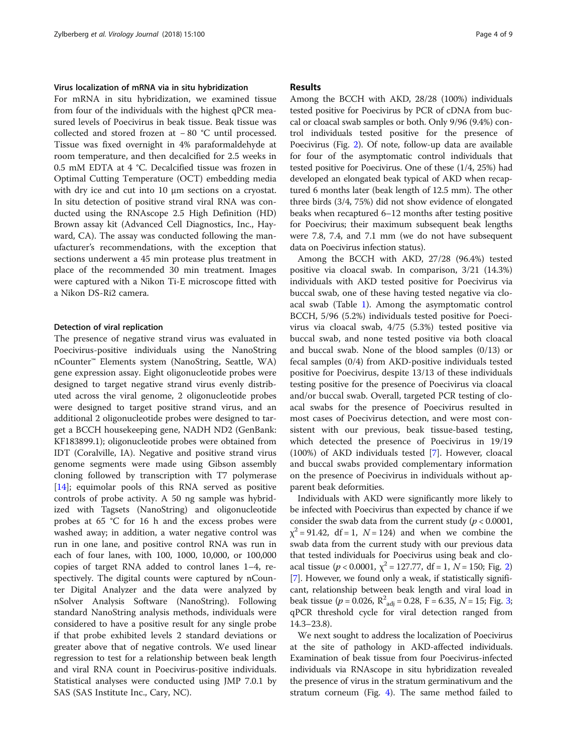#### Virus localization of mRNA via in situ hybridization

For mRNA in situ hybridization, we examined tissue from four of the individuals with the highest qPCR measured levels of Poecivirus in beak tissue. Beak tissue was collected and stored frozen at − 80 °C until processed. Tissue was fixed overnight in 4% paraformaldehyde at room temperature, and then decalcified for 2.5 weeks in 0.5 mM EDTA at 4 °C. Decalcified tissue was frozen in Optimal Cutting Temperature (OCT) embedding media with dry ice and cut into 10 μm sections on a cryostat. In situ detection of positive strand viral RNA was conducted using the RNAscope 2.5 High Definition (HD) Brown assay kit (Advanced Cell Diagnostics, Inc., Hayward, CA). The assay was conducted following the manufacturer's recommendations, with the exception that sections underwent a 45 min protease plus treatment in place of the recommended 30 min treatment. Images were captured with a Nikon Ti-E microscope fitted with a Nikon DS-Ri2 camera.

#### Detection of viral replication

The presence of negative strand virus was evaluated in Poecivirus-positive individuals using the NanoString nCounter™ Elements system (NanoString, Seattle, WA) gene expression assay. Eight oligonucleotide probes were designed to target negative strand virus evenly distributed across the viral genome, 2 oligonucleotide probes were designed to target positive strand virus, and an additional 2 oligonucleotide probes were designed to target a BCCH housekeeping gene, NADH ND2 (GenBank: KF183899.1); oligonucleotide probes were obtained from IDT (Coralville, IA). Negative and positive strand virus genome segments were made using Gibson assembly cloning followed by transcription with T7 polymerase [[14\]](#page-7-0); equimolar pools of this RNA served as positive controls of probe activity. A 50 ng sample was hybridized with Tagsets (NanoString) and oligonucleotide probes at 65 °C for 16 h and the excess probes were washed away; in addition, a water negative control was run in one lane, and positive control RNA was run in each of four lanes, with 100, 1000, 10,000, or 100,000 copies of target RNA added to control lanes 1–4, respectively. The digital counts were captured by nCounter Digital Analyzer and the data were analyzed by nSolver Analysis Software (NanoString). Following standard NanoString analysis methods, individuals were considered to have a positive result for any single probe if that probe exhibited levels 2 standard deviations or greater above that of negative controls. We used linear regression to test for a relationship between beak length and viral RNA count in Poecivirus-positive individuals. Statistical analyses were conducted using JMP 7.0.1 by SAS (SAS Institute Inc., Cary, NC).

#### Results

Among the BCCH with AKD, 28/28 (100%) individuals tested positive for Poecivirus by PCR of cDNA from buccal or cloacal swab samples or both. Only 9/96 (9.4%) control individuals tested positive for the presence of Poecivirus (Fig. [2](#page-4-0)). Of note, follow-up data are available for four of the asymptomatic control individuals that tested positive for Poecivirus. One of these (1/4, 25%) had developed an elongated beak typical of AKD when recaptured 6 months later (beak length of 12.5 mm). The other three birds (3/4, 75%) did not show evidence of elongated beaks when recaptured 6–12 months after testing positive for Poecivirus; their maximum subsequent beak lengths were 7.8, 7.4, and 7.1 mm (we do not have subsequent data on Poecivirus infection status).

Among the BCCH with AKD, 27/28 (96.4%) tested positive via cloacal swab. In comparison, 3/21 (14.3%) individuals with AKD tested positive for Poecivirus via buccal swab, one of these having tested negative via cloacal swab (Table [1\)](#page-4-0). Among the asymptomatic control BCCH, 5/96 (5.2%) individuals tested positive for Poecivirus via cloacal swab, 4/75 (5.3%) tested positive via buccal swab, and none tested positive via both cloacal and buccal swab. None of the blood samples (0/13) or fecal samples (0/4) from AKD-positive individuals tested positive for Poecivirus, despite 13/13 of these individuals testing positive for the presence of Poecivirus via cloacal and/or buccal swab. Overall, targeted PCR testing of cloacal swabs for the presence of Poecivirus resulted in most cases of Poecivirus detection, and were most consistent with our previous, beak tissue-based testing, which detected the presence of Poecivirus in 19/19 (100%) of AKD individuals tested [[7\]](#page-7-0). However, cloacal and buccal swabs provided complementary information on the presence of Poecivirus in individuals without apparent beak deformities.

Individuals with AKD were significantly more likely to be infected with Poecivirus than expected by chance if we consider the swab data from the current study ( $p < 0.0001$ ,  $\chi^2$  = 91.42, df = 1, N = 124) and when we combine the swab data from the current study with our previous data that tested individuals for Poecivirus using beak and cloacal tissue ( $p < 0.0001$ ,  $\chi^2 = 127.77$  $\chi^2 = 127.77$  $\chi^2 = 127.77$ , df = 1, N = 150; Fig. 2) [[7\]](#page-7-0). However, we found only a weak, if statistically significant, relationship between beak length and viral load in beak tissue ( $p = 0.026$ ,  $R^2_{\text{adj}} = 0.28$ ,  $F = 6.35$  $F = 6.35$  $F = 6.35$ ,  $N = 15$ ; Fig. 3; qPCR threshold cycle for viral detection ranged from 14.3–23.8).

We next sought to address the localization of Poecivirus at the site of pathology in AKD-affected individuals. Examination of beak tissue from four Poecivirus-infected individuals via RNAscope in situ hybridization revealed the presence of virus in the stratum germinativum and the stratum corneum (Fig. [4\)](#page-5-0). The same method failed to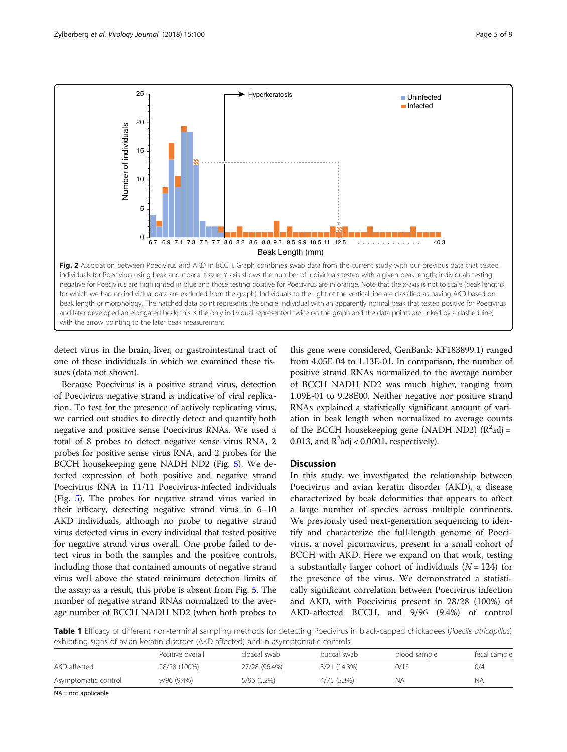<span id="page-4-0"></span>

detect virus in the brain, liver, or gastrointestinal tract of one of these individuals in which we examined these tissues (data not shown).

Because Poecivirus is a positive strand virus, detection of Poecivirus negative strand is indicative of viral replication. To test for the presence of actively replicating virus, we carried out studies to directly detect and quantify both negative and positive sense Poecivirus RNAs. We used a total of 8 probes to detect negative sense virus RNA, 2 probes for positive sense virus RNA, and 2 probes for the BCCH housekeeping gene NADH ND2 (Fig. [5](#page-6-0)). We detected expression of both positive and negative strand Poecivirus RNA in 11/11 Poecivirus-infected individuals (Fig. [5\)](#page-6-0). The probes for negative strand virus varied in their efficacy, detecting negative strand virus in 6–10 AKD individuals, although no probe to negative strand virus detected virus in every individual that tested positive for negative strand virus overall. One probe failed to detect virus in both the samples and the positive controls, including those that contained amounts of negative strand virus well above the stated minimum detection limits of the assay; as a result, this probe is absent from Fig. [5.](#page-6-0) The number of negative strand RNAs normalized to the average number of BCCH NADH ND2 (when both probes to

this gene were considered, GenBank: KF183899.1) ranged from 4.05E-04 to 1.13E-01. In comparison, the number of positive strand RNAs normalized to the average number of BCCH NADH ND2 was much higher, ranging from 1.09E-01 to 9.28E00. Neither negative nor positive strand RNAs explained a statistically significant amount of variation in beak length when normalized to average counts of the BCCH housekeeping gene (NADH ND2)  $(R^2$ adj = 0.013, and  $R^2$ adj < 0.0001, respectively).

#### Discussion

In this study, we investigated the relationship between Poecivirus and avian keratin disorder (AKD), a disease characterized by beak deformities that appears to affect a large number of species across multiple continents. We previously used next-generation sequencing to identify and characterize the full-length genome of Poecivirus, a novel picornavirus, present in a small cohort of BCCH with AKD. Here we expand on that work, testing a substantially larger cohort of individuals  $(N = 124)$  for the presence of the virus. We demonstrated a statistically significant correlation between Poecivirus infection and AKD, with Poecivirus present in 28/28 (100%) of AKD-affected BCCH, and 9/96 (9.4%) of control

Table 1 Efficacy of different non-terminal sampling methods for detecting Poecivirus in black-capped chickadees (Poecile atricapillus) exhibiting signs of avian keratin disorder (AKD-affected) and in asymptomatic controls

| <u>and the contract and an extension of the contract of the contract of the contract of the contract of the contract of the contract of the contract of the contract of the contract of the contract of the contract of the cont</u> |                  |               |              |              |              |
|--------------------------------------------------------------------------------------------------------------------------------------------------------------------------------------------------------------------------------------|------------------|---------------|--------------|--------------|--------------|
|                                                                                                                                                                                                                                      | Positive overall | cloacal swab  | buccal swab  | blood sample | fecal sample |
| AKD-affected                                                                                                                                                                                                                         | 28/28 (100%)     | 27/28 (96.4%) | 3/21 (14.3%) | 0/13         | 0/4          |
| Asymptomatic control                                                                                                                                                                                                                 | 9/96 (9.4%)      | 5/96 (5.2%)   | 4/75 (5.3%)  | ΝA           | ΝA           |
|                                                                                                                                                                                                                                      |                  |               |              |              |              |

NA = not applicable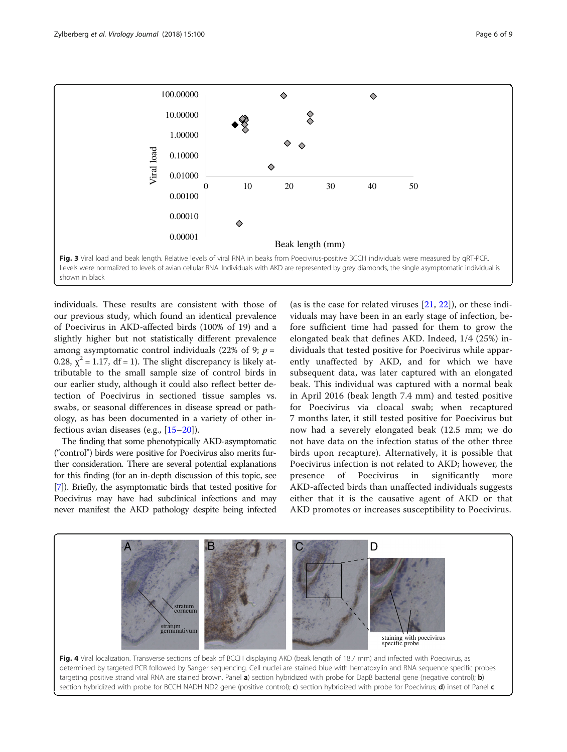<span id="page-5-0"></span>

individuals. These results are consistent with those of our previous study, which found an identical prevalence of Poecivirus in AKD-affected birds (100% of 19) and a slightly higher but not statistically different prevalence among asymptomatic control individuals (22% of 9;  $p =$ 0.28,  $\chi^2$  = 1.17, df = 1). The slight discrepancy is likely attributable to the small sample size of control birds in our earlier study, although it could also reflect better detection of Poecivirus in sectioned tissue samples vs. swabs, or seasonal differences in disease spread or pathology, as has been documented in a variety of other infectious avian diseases (e.g., [[15](#page-7-0)–[20](#page-8-0)]).

The finding that some phenotypically AKD-asymptomatic ("control") birds were positive for Poecivirus also merits further consideration. There are several potential explanations for this finding (for an in-depth discussion of this topic, see [[7](#page-7-0)]). Briefly, the asymptomatic birds that tested positive for Poecivirus may have had subclinical infections and may never manifest the AKD pathology despite being infected

(as is the case for related viruses  $[21, 22]$  $[21, 22]$  $[21, 22]$  $[21, 22]$  $[21, 22]$ ), or these individuals may have been in an early stage of infection, before sufficient time had passed for them to grow the elongated beak that defines AKD. Indeed, 1/4 (25%) individuals that tested positive for Poecivirus while apparently unaffected by AKD, and for which we have subsequent data, was later captured with an elongated beak. This individual was captured with a normal beak in April 2016 (beak length 7.4 mm) and tested positive for Poecivirus via cloacal swab; when recaptured 7 months later, it still tested positive for Poecivirus but now had a severely elongated beak (12.5 mm; we do not have data on the infection status of the other three birds upon recapture). Alternatively, it is possible that Poecivirus infection is not related to AKD; however, the presence of Poecivirus in significantly more AKD-affected birds than unaffected individuals suggests either that it is the causative agent of AKD or that AKD promotes or increases susceptibility to Poecivirus.



section hybridized with probe for BCCH NADH ND2 gene (positive control); c) section hybridized with probe for Poecivirus; d) inset of Panel c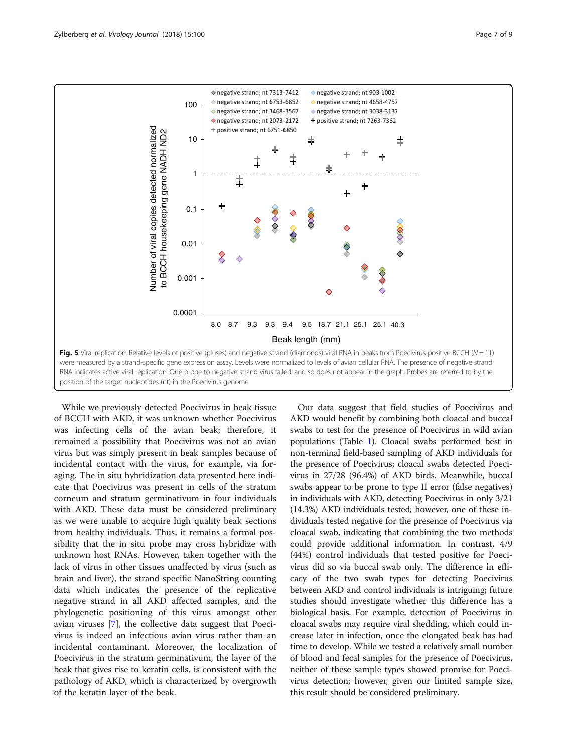<span id="page-6-0"></span>

While we previously detected Poecivirus in beak tissue of BCCH with AKD, it was unknown whether Poecivirus was infecting cells of the avian beak; therefore, it remained a possibility that Poecivirus was not an avian virus but was simply present in beak samples because of incidental contact with the virus, for example, via foraging. The in situ hybridization data presented here indicate that Poecivirus was present in cells of the stratum corneum and stratum germinativum in four individuals with AKD. These data must be considered preliminary as we were unable to acquire high quality beak sections from healthy individuals. Thus, it remains a formal possibility that the in situ probe may cross hybridize with unknown host RNAs. However, taken together with the lack of virus in other tissues unaffected by virus (such as brain and liver), the strand specific NanoString counting data which indicates the presence of the replicative negative strand in all AKD affected samples, and the phylogenetic positioning of this virus amongst other avian viruses [[7\]](#page-7-0), the collective data suggest that Poecivirus is indeed an infectious avian virus rather than an incidental contaminant. Moreover, the localization of Poecivirus in the stratum germinativum, the layer of the beak that gives rise to keratin cells, is consistent with the pathology of AKD, which is characterized by overgrowth of the keratin layer of the beak.

Our data suggest that field studies of Poecivirus and AKD would benefit by combining both cloacal and buccal swabs to test for the presence of Poecivirus in wild avian populations (Table [1\)](#page-4-0). Cloacal swabs performed best in non-terminal field-based sampling of AKD individuals for the presence of Poecivirus; cloacal swabs detected Poecivirus in 27/28 (96.4%) of AKD birds. Meanwhile, buccal swabs appear to be prone to type II error (false negatives) in individuals with AKD, detecting Poecivirus in only 3/21 (14.3%) AKD individuals tested; however, one of these individuals tested negative for the presence of Poecivirus via cloacal swab, indicating that combining the two methods could provide additional information. In contrast, 4/9 (44%) control individuals that tested positive for Poecivirus did so via buccal swab only. The difference in efficacy of the two swab types for detecting Poecivirus between AKD and control individuals is intriguing; future studies should investigate whether this difference has a biological basis. For example, detection of Poecivirus in cloacal swabs may require viral shedding, which could increase later in infection, once the elongated beak has had time to develop. While we tested a relatively small number of blood and fecal samples for the presence of Poecivirus, neither of these sample types showed promise for Poecivirus detection; however, given our limited sample size, this result should be considered preliminary.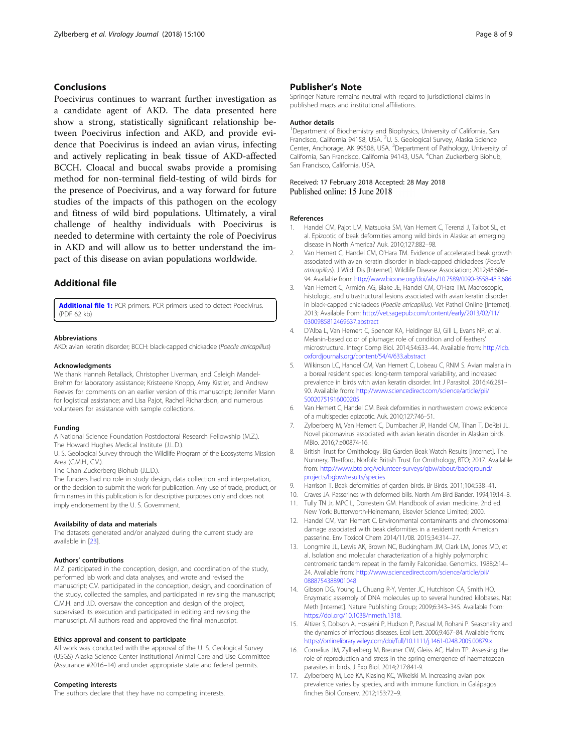#### <span id="page-7-0"></span>Conclusions

Poecivirus continues to warrant further investigation as a candidate agent of AKD. The data presented here show a strong, statistically significant relationship between Poecivirus infection and AKD, and provide evidence that Poecivirus is indeed an avian virus, infecting and actively replicating in beak tissue of AKD-affected BCCH. Cloacal and buccal swabs provide a promising method for non-terminal field-testing of wild birds for the presence of Poecivirus, and a way forward for future studies of the impacts of this pathogen on the ecology and fitness of wild bird populations. Ultimately, a viral challenge of healthy individuals with Poecivirus is needed to determine with certainty the role of Poecivirus in AKD and will allow us to better understand the impact of this disease on avian populations worldwide.

#### Additional file

[Additional file 1:](https://doi.org/10.1186/s12985-018-1008-5) PCR primers. PCR primers used to detect Poecivirus. (PDF 62 kb)

#### Abbreviations

AKD: avian keratin disorder; BCCH: black-capped chickadee (Poecile atricapillus)

#### Acknowledgments

We thank Hannah Retallack, Christopher Liverman, and Caleigh Mandel-Brehm for laboratory assistance; Kristeene Knopp, Amy Kistler, and Andrew Reeves for comments on an earlier version of this manuscript; Jennifer Mann for logistical assistance; and Lisa Pajot, Rachel Richardson, and numerous volunteers for assistance with sample collections.

#### Funding

A National Science Foundation Postdoctoral Research Fellowship (M.Z.). The Howard Hughes Medical Institute (J.L.D.).

U. S. Geological Survey through the Wildlife Program of the Ecosystems Mission Area (C.M.H., C.V.).

The Chan Zuckerberg Biohub (J.L.D.).

The funders had no role in study design, data collection and interpretation, or the decision to submit the work for publication. Any use of trade, product, or firm names in this publication is for descriptive purposes only and does not imply endorsement by the U. S. Government.

#### Availability of data and materials

The datasets generated and/or analyzed during the current study are available in [[23\]](#page-8-0).

#### Authors' contributions

M.Z. participated in the conception, design, and coordination of the study, performed lab work and data analyses, and wrote and revised the manuscript; C.V. participated in the conception, design, and coordination of the study, collected the samples, and participated in revising the manuscript; C.M.H. and J.D. oversaw the conception and design of the project, supervised its execution and participated in editing and revising the manuscript. All authors read and approved the final manuscript.

#### Ethics approval and consent to participate

All work was conducted with the approval of the U. S. Geological Survey (USGS) Alaska Science Center Institutional Animal Care and Use Committee (Assurance #2016–14) and under appropriate state and federal permits.

#### Competing interests

The authors declare that they have no competing interests.

#### Publisher's Note

Springer Nature remains neutral with regard to jurisdictional claims in published maps and institutional affiliations.

#### Author details

<sup>1</sup>Department of Biochemistry and Biophysics, University of California, San Francisco, California 94158, USA. <sup>2</sup>U. S. Geological Survey, Alaska Science Center, Anchorage, AK 99508, USA. <sup>3</sup>Department of Pathology, University of California, San Francisco, California 94143, USA. <sup>4</sup>Chan Zuckerberg Biohub San Francisco, California, USA.

# Received: 17 February 2018 Accepted: 28 May 2018<br>Published online: 15 June 2018

#### References

- 1. Handel CM, Pajot LM, Matsuoka SM, Van Hemert C, Terenzi J, Talbot SL, et al. Epizootic of beak deformities among wild birds in Alaska: an emerging disease in North America? Auk. 2010;127:882–98.
- Van Hemert C, Handel CM, O'Hara TM. Evidence of accelerated beak growth associated with avian keratin disorder in black-capped chickadees (Poecile atricapillus). J Wildl Dis [Internet]. Wildlife Disease Association; 2012;48:686– 94. Available from: <http://www.bioone.org/doi/abs/10.7589/0090-3558-48.3.686>
- 3. Van Hemert C, Armién AG, Blake JE, Handel CM, O'Hara TM. Macroscopic, histologic, and ultrastructural lesions associated with avian keratin disorder in black-capped chickadees (Poecile atricapillus). Vet Pathol Online [Internet]. 2013; Available from: [http://vet.sagepub.com/content/early/2013/02/11/](http://vet.sagepub.com/content/early/2013/02/11/0300985812469637.abstract) [0300985812469637.abstract](http://vet.sagepub.com/content/early/2013/02/11/0300985812469637.abstract)
- 4. D'Alba L, Van Hemert C, Spencer KA, Heidinger BJ, Gill L, Evans NP, et al. Melanin-based color of plumage: role of condition and of feathers' microstructure. Integr Comp Biol. 2014;54:633–44. Available from: [http://icb.](http://icb.oxfordjournals.org/content/54/4/633.abstract) [oxfordjournals.org/content/54/4/633.abstract](http://icb.oxfordjournals.org/content/54/4/633.abstract)
- 5. Wilkinson LC, Handel CM, Van Hemert C, Loiseau C, RNM S. Avian malaria in a boreal resident species: long-term temporal variability, and increased prevalence in birds with avian keratin disorder. Int J Parasitol. 2016;46:281– 90. Available from: [http://www.sciencedirect.com/science/article/pii/](http://www.sciencedirect.com/science/article/pii/S0020751916000205) [S0020751916000205](http://www.sciencedirect.com/science/article/pii/S0020751916000205)
- 6. Van Hemert C, Handel CM. Beak deformities in northwestern crows: evidence of a multispecies epizootic. Auk. 2010;127:746–51.
- 7. Zylberberg M, Van Hemert C, Dumbacher JP, Handel CM, Tihan T, DeRisi JL. Novel picornavirus associated with avian keratin disorder in Alaskan birds. MBio. 2016;7:e00874-16.
- 8. British Trust for Ornithology. Big Garden Beak Watch Results [Internet]. The Nunnery, Thetford, Norfolk: British Trust for Ornithology, BTO; 2017. Available from: [http://www.bto.org/volunteer-surveys/gbw/about/background/](http://www.bto.org/volunteer-surveys/gbw/about/background/projects/bgbw/results/species) [projects/bgbw/results/species](http://www.bto.org/volunteer-surveys/gbw/about/background/projects/bgbw/results/species)
- 9. Harrison T. Beak deformities of garden birds. Br Birds. 2011;104:538–41.
- 10. Craves JA. Passerines with deformed bills. North Am Bird Bander. 1994;19:14–8.
- 11. Tully TN Jr, MPC L, Dorrestein GM. Handbook of avian medicine. 2nd ed. New York: Butterworth-Heinemann, Elsevier Science Limited; 2000.
- 12. Handel CM, Van Hemert C. Environmental contaminants and chromosomal damage associated with beak deformities in a resident north American passerine. Env Toxicol Chem 2014/11/08. 2015;34:314–27.
- 13. Longmire JL, Lewis AK, Brown NC, Buckingham JM, Clark LM, Jones MD, et al. Isolation and molecular characterization of a highly polymorphic centromeric tandem repeat in the family Falconidae. Genomics. 1988;2:14– 24. Available from: [http://www.sciencedirect.com/science/article/pii/](http://www.sciencedirect.com/science/article/pii/0888754388901048) [0888754388901048](http://www.sciencedirect.com/science/article/pii/0888754388901048)
- 14. Gibson DG, Young L, Chuang R-Y, Venter JC, Hutchison CA, Smith HO. Enzymatic assembly of DNA molecules up to several hundred kilobases. Nat Meth [Internet]. Nature Publishing Group; 2009;6:343–345. Available from: [https://doi.org/10.1038/nmeth.1318.](https://doi.org/10.1038/nmeth.1318)
- 15. Altizer S, Dobson A, Hosseini P, Hudson P, Pascual M, Rohani P. Seasonality and the dynamics of infectious diseases. Ecol Lett. 2006;9:467–84. Available from: <https://onlinelibrary.wiley.com/doi/full/10.1111/j.1461-0248.2005.00879.x>
- 16. Cornelius JM, Zylberberg M, Breuner CW, Gleiss AC, Hahn TP. Assessing the role of reproduction and stress in the spring emergence of haematozoan parasites in birds. J Exp Biol. 2014;217:841-9.
- 17. Zylberberg M, Lee KA, Klasing KC, Wikelski M. Increasing avian pox prevalence varies by species, and with immune function. in Galápagos finches Biol Conserv. 2012;153:72–9.